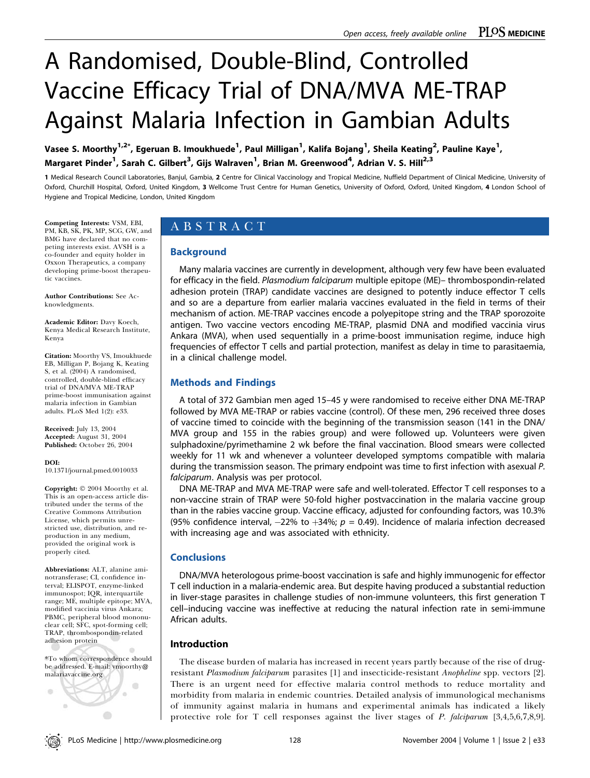# A Randomised, Double-Blind, Controlled Vaccine Efficacy Trial of DNA/MVA ME-TRAP Against Malaria Infection in Gambian Adults

Vasee S. Moorthy<sup>1,2\*</sup>, Egeruan B. Imoukhuede<sup>1</sup>, Paul Milligan<sup>1</sup>, Kalifa Bojang<sup>1</sup>, Sheila Keating<sup>2</sup>, Pauline Kaye<sup>1</sup>, Margaret Pinder<sup>1</sup>, Sarah C. Gilbert<sup>3</sup>, Gijs Walraven<sup>1</sup>, Brian M. Greenwood<sup>4</sup>, Adrian V. S. Hill<sup>2,3</sup>

1 Medical Research Council Laboratories, Banjul, Gambia, 2 Centre for Clinical Vaccinology and Tropical Medicine, Nuffield Department of Clinical Medicine, University of Oxford, Churchill Hospital, Oxford, United Kingdom, 3 Wellcome Trust Centre for Human Genetics, University of Oxford, Oxford, United Kingdom, 4 London School of Hygiene and Tropical Medicine, London, United Kingdom

Competing Interests: VSM, EBI,

PM, KB, SK, PK, MP, SCG, GW, and BMG have declared that no competing interests exist. AVSH is a co-founder and equity holder in Oxxon Therapeutics, a company developing prime-boost therapeutic vaccines.

Author Contributions: See Acknowledgments.

Academic Editor: Davy Koech, Kenya Medical Research Institute, Kenya

Citation: Moorthy VS, Imoukhuede EB, Milligan P, Bojang K, Keating S, et al. (2004) A randomised, controlled, double-blind efficacy trial of DNA/MVA ME-TRAP prime-boost immunisation against malaria infection in Gambian adults. PLoS Med 1(2): e33.

Received: July 13, 2004 Accepted: August 31, 2004 Published: October 26, 2004

DOI:

10.1371/journal.pmed.0010033

Copyright:  $© 2004$  Moorthy et al. This is an open-access article distributed under the terms of the Creative Commons Attribution License, which permits unrestricted use, distribution, and reproduction in any medium, provided the original work is properly cited.

Abbreviations: ALT, alanine aminotransferase; CI, confidence interval; ELISPOT, enzyme-linked immunospot; IQR, interquartile range; ME, multiple epitope; MVA, modified vaccinia virus Ankara; PBMC, peripheral blood mononuclear cell; SFC, spot-forming cell; TRAP, thrombospondin-related adhesion protein

\*To whom correspondence should be addressed. E-mail: vmoorthy@ malariavaccine.org



# ABSTRACT

# Background

Many malaria vaccines are currently in development, although very few have been evaluated for efficacy in the field. Plasmodium falciparum multiple epitope (ME)- thrombospondin-related adhesion protein (TRAP) candidate vaccines are designed to potently induce effector T cells and so are a departure from earlier malaria vaccines evaluated in the field in terms of their mechanism of action. ME-TRAP vaccines encode a polyepitope string and the TRAP sporozoite antigen. Two vaccine vectors encoding ME-TRAP, plasmid DNA and modified vaccinia virus Ankara (MVA), when used sequentially in a prime-boost immunisation regime, induce high frequencies of effector T cells and partial protection, manifest as delay in time to parasitaemia, in a clinical challenge model.

# Methods and Findings

A total of 372 Gambian men aged 15–45 y were randomised to receive either DNA ME-TRAP followed by MVA ME-TRAP or rabies vaccine (control). Of these men, 296 received three doses of vaccine timed to coincide with the beginning of the transmission season (141 in the DNA/ MVA group and 155 in the rabies group) and were followed up. Volunteers were given sulphadoxine/pyrimethamine 2 wk before the final vaccination. Blood smears were collected weekly for 11 wk and whenever a volunteer developed symptoms compatible with malaria during the transmission season. The primary endpoint was time to first infection with asexual P. falciparum. Analysis was per protocol.

DNA ME-TRAP and MVA ME-TRAP were safe and well-tolerated. Effector T cell responses to a non-vaccine strain of TRAP were 50-fold higher postvaccination in the malaria vaccine group than in the rabies vaccine group. Vaccine efficacy, adjusted for confounding factors, was 10.3% (95% confidence interval,  $-22\%$  to  $+34\%$ ;  $p = 0.49$ ). Incidence of malaria infection decreased with increasing age and was associated with ethnicity.

# **Conclusions**

DNA/MVA heterologous prime-boost vaccination is safe and highly immunogenic for effector T cell induction in a malaria-endemic area. But despite having produced a substantial reduction in liver-stage parasites in challenge studies of non-immune volunteers, this first generation T cell–inducing vaccine was ineffective at reducing the natural infection rate in semi-immune African adults.

# Introduction

The disease burden of malaria has increased in recent years partly because of the rise of drugresistant Plasmodium falciparum parasites [1] and insecticide-resistant Anopheline spp. vectors [2]. There is an urgent need for effective malaria control methods to reduce mortality and morbidity from malaria in endemic countries. Detailed analysis of immunological mechanisms of immunity against malaria in humans and experimental animals has indicated a likely protective role for T cell responses against the liver stages of P. falciparum [3,4,5,6,7,8,9].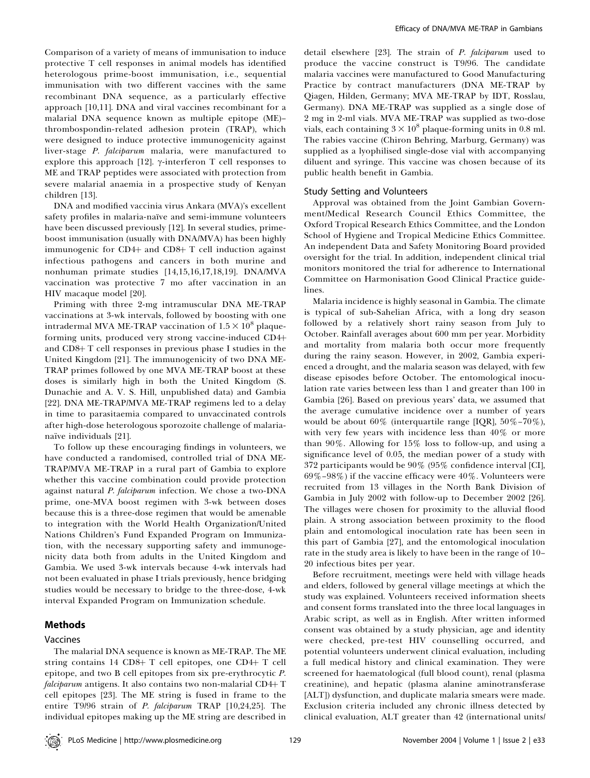Comparison of a variety of means of immunisation to induce protective T cell responses in animal models has identified heterologous prime-boost immunisation, i.e., sequential immunisation with two different vaccines with the same recombinant DNA sequence, as a particularly effective approach [10,11]. DNA and viral vaccines recombinant for a malarial DNA sequence known as multiple epitope (ME)– thrombospondin-related adhesion protein (TRAP), which were designed to induce protective immunogenicity against liver-stage P. falciparum malaria, were manufactured to explore this approach [12].  $\gamma$ -interferon T cell responses to ME and TRAP peptides were associated with protection from severe malarial anaemia in a prospective study of Kenyan children [13].

DNA and modified vaccinia virus Ankara (MVA)'s excellent safety profiles in malaria-naïve and semi-immune volunteers have been discussed previously [12]. In several studies, primeboost immunisation (usually with DNA/MVA) has been highly immunogenic for CD4+ and CD8+  $T$  cell induction against infectious pathogens and cancers in both murine and nonhuman primate studies [14,15,16,17,18,19]. DNA/MVA vaccination was protective 7 mo after vaccination in an HIV macaque model [20].

Priming with three 2-mg intramuscular DNA ME-TRAP vaccinations at 3-wk intervals, followed by boosting with one intradermal MVA ME-TRAP vaccination of  $1.5 \times 10^8$  plaqueforming units, produced very strong vaccine-induced CD4+ and CD8+ T cell responses in previous phase I studies in the United Kingdom [21]. The immunogenicity of two DNA ME-TRAP primes followed by one MVA ME-TRAP boost at these doses is similarly high in both the United Kingdom (S. Dunachie and A. V. S. Hill, unpublished data) and Gambia [22]. DNA ME-TRAP/MVA ME-TRAP regimens led to a delay in time to parasitaemia compared to unvaccinated controls after high-dose heterologous sporozoite challenge of malarianaïve individuals [21].

To follow up these encouraging findings in volunteers, we have conducted a randomised, controlled trial of DNA ME-TRAP/MVA ME-TRAP in a rural part of Gambia to explore whether this vaccine combination could provide protection against natural P. falciparum infection. We chose a two-DNA prime, one-MVA boost regimen with 3-wk between doses because this is a three-dose regimen that would be amenable to integration with the World Health Organization/United Nations Children's Fund Expanded Program on Immunization, with the necessary supporting safety and immunogenicity data both from adults in the United Kingdom and Gambia. We used 3-wk intervals because 4-wk intervals had not been evaluated in phase I trials previously, hence bridging studies would be necessary to bridge to the three-dose, 4-wk interval Expanded Program on Immunization schedule.

# Methods

## Vaccines

The malarial DNA sequence is known as ME-TRAP. The ME string contains  $14$  CD8+ T cell epitopes, one CD4+ T cell epitope, and two B cell epitopes from six pre-erythrocytic P. *falciparum* antigens. It also contains two non-malarial  $CD4+T$ cell epitopes [23]. The ME string is fused in frame to the entire T9/96 strain of P. falciparum TRAP [10,24,25]. The individual epitopes making up the ME string are described in

detail elsewhere [23]. The strain of P. falciparum used to produce the vaccine construct is T9/96. The candidate malaria vaccines were manufactured to Good Manufacturing Practice by contract manufacturers (DNA ME-TRAP by Qiagen, Hilden, Germany; MVA ME-TRAP by IDT, Rosslau, Germany). DNA ME-TRAP was supplied as a single dose of 2 mg in 2-ml vials. MVA ME-TRAP was supplied as two-dose vials, each containing  $3 \times 10^8$  plaque-forming units in 0.8 ml. The rabies vaccine (Chiron Behring, Marburg, Germany) was supplied as a lyophilised single-dose vial with accompanying diluent and syringe. This vaccine was chosen because of its public health benefit in Gambia.

#### Study Setting and Volunteers

Approval was obtained from the Joint Gambian Government/Medical Research Council Ethics Committee, the Oxford Tropical Research Ethics Committee, and the London School of Hygiene and Tropical Medicine Ethics Committee. An independent Data and Safety Monitoring Board provided oversight for the trial. In addition, independent clinical trial monitors monitored the trial for adherence to International Committee on Harmonisation Good Clinical Practice guidelines.

Malaria incidence is highly seasonal in Gambia. The climate is typical of sub-Sahelian Africa, with a long dry season followed by a relatively short rainy season from July to October. Rainfall averages about 600 mm per year. Morbidity and mortality from malaria both occur more frequently during the rainy season. However, in 2002, Gambia experienced a drought, and the malaria season was delayed, with few disease episodes before October. The entomological inoculation rate varies between less than 1 and greater than 100 in Gambia [26]. Based on previous years' data, we assumed that the average cumulative incidence over a number of years would be about  $60\%$  (interquartile range [IQR],  $50\% - 70\%$ ), with very few years with incidence less than 40% or more than 90%. Allowing for 15% loss to follow-up, and using a significance level of 0.05, the median power of a study with 372 participants would be 90% (95% confidence interval [CI], 69%–98%) if the vaccine efficacy were 40%. Volunteers were recruited from 13 villages in the North Bank Division of Gambia in July 2002 with follow-up to December 2002 [26]. The villages were chosen for proximity to the alluvial flood plain. A strong association between proximity to the flood plain and entomological inoculation rate has been seen in this part of Gambia [27], and the entomological inoculation rate in the study area is likely to have been in the range of 10– 20 infectious bites per year.

Before recruitment, meetings were held with village heads and elders, followed by general village meetings at which the study was explained. Volunteers received information sheets and consent forms translated into the three local languages in Arabic script, as well as in English. After written informed consent was obtained by a study physician, age and identity were checked, pre-test HIV counselling occurred, and potential volunteers underwent clinical evaluation, including a full medical history and clinical examination. They were screened for haematological (full blood count), renal (plasma creatinine), and hepatic (plasma alanine aminotransferase [ALT]) dysfunction, and duplicate malaria smears were made. Exclusion criteria included any chronic illness detected by clinical evaluation, ALT greater than 42 (international units/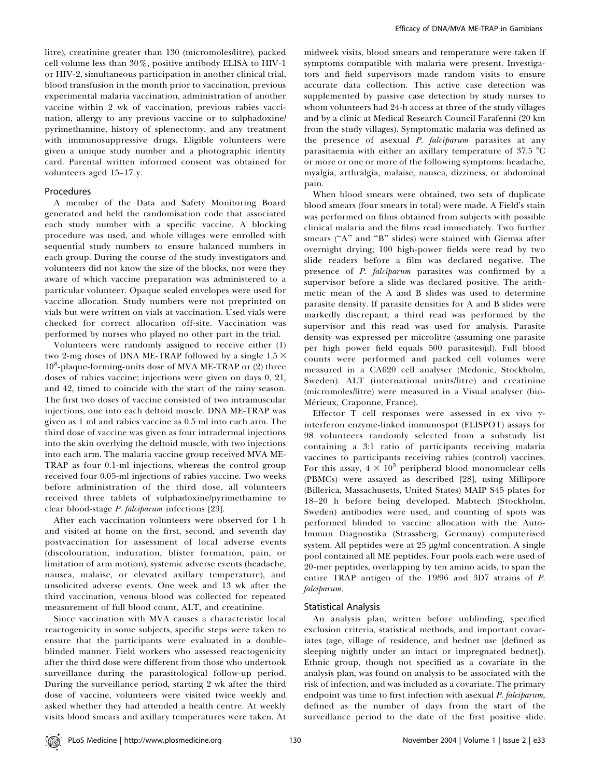litre), creatinine greater than 130 (micromoles/litre), packed cell volume less than 30%, positive antibody ELISA to HIV-1 or HIV-2, simultaneous participation in another clinical trial, blood transfusion in the month prior to vaccination, previous experimental malaria vaccination, administration of another vaccine within 2 wk of vaccination, previous rabies vaccination, allergy to any previous vaccine or to sulphadoxine/ pyrimethamine, history of splenectomy, and any treatment with immunosuppressive drugs. Eligible volunteers were given a unique study number and a photographic identity card. Parental written informed consent was obtained for volunteers aged 15–17 y.

#### Procedures

A member of the Data and Safety Monitoring Board generated and held the randomisation code that associated each study number with a specific vaccine. A blocking procedure was used, and whole villages were enrolled with sequential study numbers to ensure balanced numbers in each group. During the course of the study investigators and volunteers did not know the size of the blocks, nor were they aware of which vaccine preparation was administered to a particular volunteer. Opaque sealed envelopes were used for vaccine allocation. Study numbers were not preprinted on vials but were written on vials at vaccination. Used vials were checked for correct allocation off-site. Vaccination was performed by nurses who played no other part in the trial.

Volunteers were randomly assigned to receive either (1) two 2-mg doses of DNA ME-TRAP followed by a single  $1.5 \times$ 10<sup>8</sup>-plaque-forming-units dose of MVA ME-TRAP or (2) three doses of rabies vaccine; injections were given on days 0, 21, and 42, timed to coincide with the start of the rainy season. The first two doses of vaccine consisted of two intramuscular injections, one into each deltoid muscle. DNA ME-TRAP was given as 1 ml and rabies vaccine as 0.5 ml into each arm. The third dose of vaccine was given as four intradermal injections into the skin overlying the deltoid muscle, with two injections into each arm. The malaria vaccine group received MVA ME-TRAP as four 0.1-ml injections, whereas the control group received four 0.05-ml injections of rabies vaccine. Two weeks before administration of the third dose, all volunteers received three tablets of sulphadoxine/pyrimethamine to clear blood-stage P. falciparum infections [23].

After each vaccination volunteers were observed for 1 h and visited at home on the first, second, and seventh day postvaccination for assessment of local adverse events (discolouration, induration, blister formation, pain, or limitation of arm motion), systemic adverse events (headache, nausea, malaise, or elevated axillary temperature), and unsolicited adverse events. One week and 13 wk after the third vaccination, venous blood was collected for repeated measurement of full blood count, ALT, and creatinine.

Since vaccination with MVA causes a characteristic local reactogenicity in some subjects, specific steps were taken to ensure that the participants were evaluated in a doubleblinded manner. Field workers who assessed reactogenicity after the third dose were different from those who undertook surveillance during the parasitological follow-up period. During the surveillance period, starting 2 wk after the third dose of vaccine, volunteers were visited twice weekly and asked whether they had attended a health centre. At weekly visits blood smears and axillary temperatures were taken. At

midweek visits, blood smears and temperature were taken if symptoms compatible with malaria were present. Investigators and field supervisors made random visits to ensure accurate data collection. This active case detection was supplemented by passive case detection by study nurses to whom volunteers had 24-h access at three of the study villages and by a clinic at Medical Research Council Farafenni (20 km from the study villages). Symptomatic malaria was defined as the presence of asexual P. falciparum parasites at any parasitaemia with either an axillary temperature of  $37.5 \text{ °C}$ or more or one or more of the following symptoms: headache, myalgia, arthralgia, malaise, nausea, dizziness, or abdominal pain.

When blood smears were obtained, two sets of duplicate blood smears (four smears in total) were made. A Field's stain was performed on films obtained from subjects with possible clinical malaria and the films read immediately. Two further smears ("A" and "B" slides) were stained with Giemsa after overnight drying; 100 high-power fields were read by two slide readers before a film was declared negative. The presence of *P. falciparum* parasites was confirmed by a supervisor before a slide was declared positive. The arithmetic mean of the A and B slides was used to determine parasite density. If parasite densities for A and B slides were markedly discrepant, a third read was performed by the supervisor and this read was used for analysis. Parasite density was expressed per microlitre (assuming one parasite per high power field equals 500 parasites/µl). Full blood counts were performed and packed cell volumes were measured in a CA620 cell analyser (Medonic, Stockholm, Sweden). ALT (international units/litre) and creatinine (micromoles/litre) were measured in a Visual analyser (bio-Mérieux, Craponne, France).

Effector T cell responses were assessed in ex vivo  $\gamma$ interferon enzyme-linked immunospot (ELISPOT) assays for 98 volunteers randomly selected from a substudy list containing a 3:1 ratio of participants receiving malaria vaccines to participants receiving rabies (control) vaccines. For this assay,  $4 \times 10^5$  peripheral blood mononuclear cells (PBMCs) were assayed as described [28], using Millipore (Billerica, Massachusetts, United States) MAIP S45 plates for 18–20 h before being developed. Mabtech (Stockholm, Sweden) antibodies were used, and counting of spots was performed blinded to vaccine allocation with the Auto-Immun Diagnostika (Strassberg, Germany) computerised system. All peptides were at  $25 \mu g/ml$  concentration. A single pool contained all ME peptides. Four pools each were used of 20-mer peptides, overlapping by ten amino acids, to span the entire TRAP antigen of the T9/96 and 3D7 strains of P. falciparum.

## Statistical Analysis

An analysis plan, written before unblinding, specified exclusion criteria, statistical methods, and important covariates (age, village of residence, and bednet use [defined as sleeping nightly under an intact or impregnated bednet]). Ethnic group, though not specified as a covariate in the analysis plan, was found on analysis to be associated with the risk of infection, and was included as a covariate. The primary endpoint was time to first infection with asexual P. falciparum, defined as the number of days from the start of the surveillance period to the date of the first positive slide.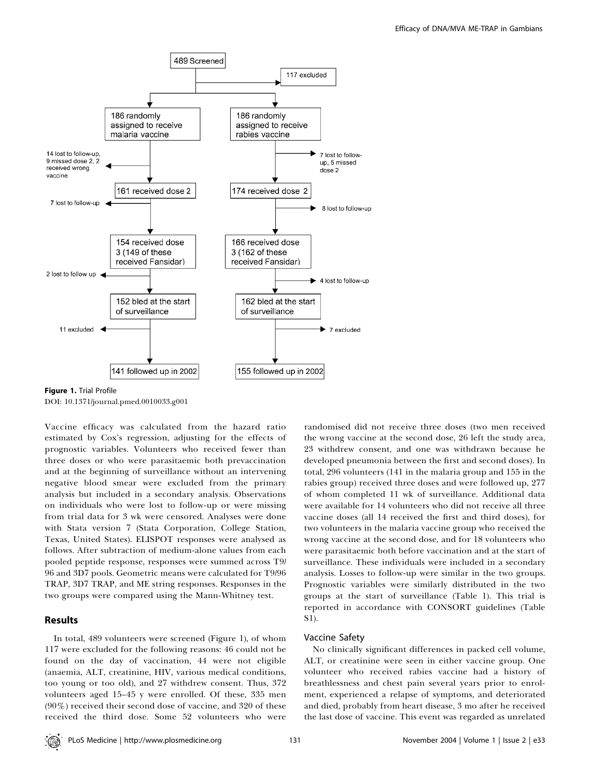

Figure 1. Trial Profile DOI: 10.1371/journal.pmed.0010033.g001

Vaccine efficacy was calculated from the hazard ratio estimated by Cox's regression, adjusting for the effects of prognostic variables. Volunteers who received fewer than three doses or who were parasitaemic both prevaccination and at the beginning of surveillance without an intervening negative blood smear were excluded from the primary analysis but included in a secondary analysis. Observations on individuals who were lost to follow-up or were missing from trial data for 3 wk were censored. Analyses were done with Stata version 7 (Stata Corporation, College Station, Texas, United States). ELISPOT responses were analysed as follows. After subtraction of medium-alone values from each pooled peptide response, responses were summed across T9/ 96 and 3D7 pools. Geometric means were calculated for T9/96 TRAP, 3D7 TRAP, and ME string responses. Responses in the two groups were compared using the Mann-Whitney test.

# Results

In total, 489 volunteers were screened (Figure 1), of whom 117 were excluded for the following reasons: 46 could not be found on the day of vaccination, 44 were not eligible (anaemia, ALT, creatinine, HIV, various medical conditions, too young or too old), and 27 withdrew consent. Thus, 372 volunteers aged 15–45 y were enrolled. Of these, 335 men (90%) received their second dose of vaccine, and 320 of these received the third dose. Some 52 volunteers who were

randomised did not receive three doses (two men received the wrong vaccine at the second dose, 26 left the study area, 23 withdrew consent, and one was withdrawn because he developed pneumonia between the first and second doses). In total, 296 volunteers (141 in the malaria group and 155 in the rabies group) received three doses and were followed up, 277 of whom completed 11 wk of surveillance. Additional data were available for 14 volunteers who did not receive all three vaccine doses (all 14 received the first and third doses), for two volunteers in the malaria vaccine group who received the wrong vaccine at the second dose, and for 18 volunteers who were parasitaemic both before vaccination and at the start of surveillance. These individuals were included in a secondary analysis. Losses to follow-up were similar in the two groups. Prognostic variables were similarly distributed in the two groups at the start of surveillance (Table 1). This trial is reported in accordance with CONSORT guidelines (Table S1).

## Vaccine Safety

No clinically significant differences in packed cell volume, ALT, or creatinine were seen in either vaccine group. One volunteer who received rabies vaccine had a history of breathlessness and chest pain several years prior to enrolment, experienced a relapse of symptoms, and deteriorated and died, probably from heart disease, 3 mo after he received the last dose of vaccine. This event was regarded as unrelated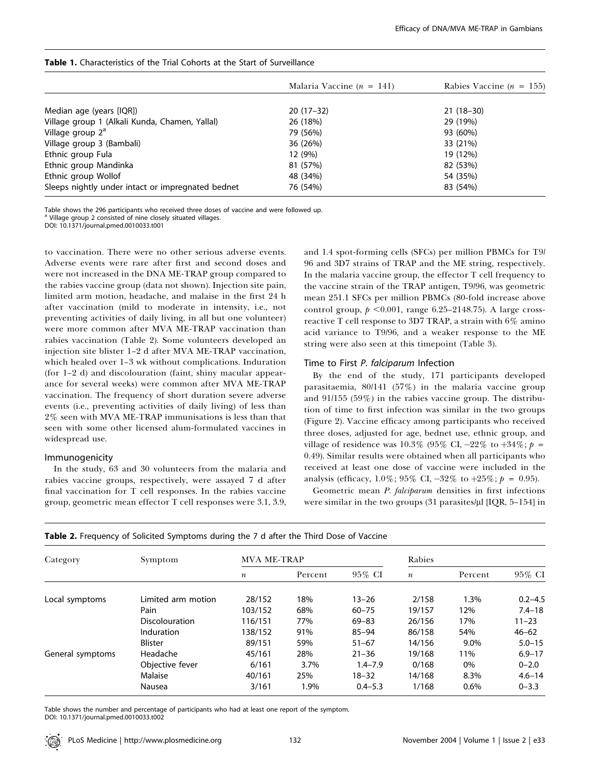|                                                   | Malaria Vaccine ( $n = 141$ ) | Rabies Vaccine ( $n = 155$ ) |
|---------------------------------------------------|-------------------------------|------------------------------|
|                                                   |                               |                              |
| Median age (years [IQR])                          | $20(17-32)$                   | $21(18-30)$                  |
| Village group 1 (Alkali Kunda, Chamen, Yallal)    | 26 (18%)                      | 29 (19%)                     |
| Village group 2 <sup>a</sup>                      | 79 (56%)                      | 93 (60%)                     |
| Village group 3 (Bambali)                         | 36 (26%)                      | 33 (21%)                     |
| Ethnic group Fula                                 | 12 (9%)                       | 19 (12%)                     |
| Ethnic group Mandinka                             | 81 (57%)                      | 82 (53%)                     |
| Ethnic group Wollof                               | 48 (34%)                      | 54 (35%)                     |
| Sleeps nightly under intact or impregnated bednet | 76 (54%)                      | 83 (54%)                     |

#### Table 1. Characteristics of the Trial Cohorts at the Start of Surveillance

Table shows the 296 participants who received three doses of vaccine and were followed up.

<sup>a</sup> Village group 2 consisted of nine closely situated villages.

DOI: 10.1371/journal.pmed.0010033.t001

to vaccination. There were no other serious adverse events. Adverse events were rare after first and second doses and were not increased in the DNA ME-TRAP group compared to the rabies vaccine group (data not shown). Injection site pain, limited arm motion, headache, and malaise in the first 24 h after vaccination (mild to moderate in intensity, i.e., not preventing activities of daily living, in all but one volunteer) were more common after MVA ME-TRAP vaccination than rabies vaccination (Table 2). Some volunteers developed an injection site blister 1–2 d after MVA ME-TRAP vaccination, which healed over 1–3 wk without complications. Induration (for 1–2 d) and discolouration (faint, shiny macular appearance for several weeks) were common after MVA ME-TRAP vaccination. The frequency of short duration severe adverse events (i.e., preventing activities of daily living) of less than 2% seen with MVA ME-TRAP immunisations is less than that seen with some other licensed alum-formulated vaccines in widespread use.

## Immunogenicity

In the study, 63 and 30 volunteers from the malaria and rabies vaccine groups, respectively, were assayed 7 d after final vaccination for T cell responses. In the rabies vaccine group, geometric mean effector T cell responses were 3.1, 3.9, and 1.4 spot-forming cells (SFCs) per million PBMCs for T9/ 96 and 3D7 strains of TRAP and the ME string, respectively. In the malaria vaccine group, the effector T cell frequency to the vaccine strain of the TRAP antigen, T9/96, was geometric mean 251.1 SFCs per million PBMCs (80-fold increase above control group,  $p \le 0.001$ , range 6.25–2148.75). A large crossreactive T cell response to 3D7 TRAP, a strain with 6% amino acid variance to T9/96, and a weaker response to the ME string were also seen at this timepoint (Table 3).

# Time to First P. falciparum Infection

By the end of the study, 171 participants developed parasitaemia, 80/141 (57%) in the malaria vaccine group and 91/155 (59%) in the rabies vaccine group. The distribution of time to first infection was similar in the two groups (Figure 2). Vaccine efficacy among participants who received three doses, adjusted for age, bednet use, ethnic group, and village of residence was 10.3% (95% CI,  $-22\%$  to  $+34\%$ ; p = 0.49). Similar results were obtained when all participants who received at least one dose of vaccine were included in the analysis (efficacy,  $1.0\%$ ;  $95\%$  CI,  $-32\%$  to  $+25\%$ ;  $p = 0.95$ ).

Geometric mean P. falciparum densities in first infections were similar in the two groups  $(31 \text{ parasites/}\mu\text{I} \text{IQR}, 5-154]$  in

| Category         | Symptom            | <b>MVA ME-TRAP</b> |         |             | Rabies           |         |             |
|------------------|--------------------|--------------------|---------|-------------|------------------|---------|-------------|
|                  |                    | $\boldsymbol{n}$   | Percent | 95% CI      | $\boldsymbol{n}$ | Percent | 95% CI      |
| Local symptoms   | Limited arm motion | 28/152             | 18%     | $13 - 26$   | 2/158            | 1.3%    | $0.2 - 4.5$ |
|                  | Pain               | 103/152            | 68%     | $60 - 75$   | 19/157           | 12%     | $7.4 - 18$  |
|                  | Discolouration     | 116/151            | 77%     | $69 - 83$   | 26/156           | 17%     | $11 - 23$   |
|                  | Induration         | 138/152            | 91%     | $85 - 94$   | 86/158           | 54%     | $46 - 62$   |
|                  | <b>Blister</b>     | 89/151             | 59%     | $51 - 67$   | 14/156           | 9.0%    | $5.0 - 15$  |
| General symptoms | Headache           | 45/161             | 28%     | $21 - 36$   | 19/168           | 11%     | $6.9 - 17$  |
|                  | Objective fever    | 6/161              | 3.7%    | $1.4 - 7.9$ | 0/168            | 0%      | $0 - 2.0$   |
|                  | Malaise            | 40/161             | 25%     | $18 - 32$   | 14/168           | 8.3%    | $4.6 - 14$  |
|                  | Nausea             | 3/161              | 1.9%    | $0.4 - 5.3$ | 1/168            | 0.6%    | $0 - 3.3$   |

| Table 2. Frequency of Solicited Symptoms during the 7 d after the Third Dose of Vaccine |  |  |  |
|-----------------------------------------------------------------------------------------|--|--|--|
|-----------------------------------------------------------------------------------------|--|--|--|

Table shows the number and percentage of participants who had at least one report of the symptom. DOI: 10.1371/journal.pmed.0010033.t002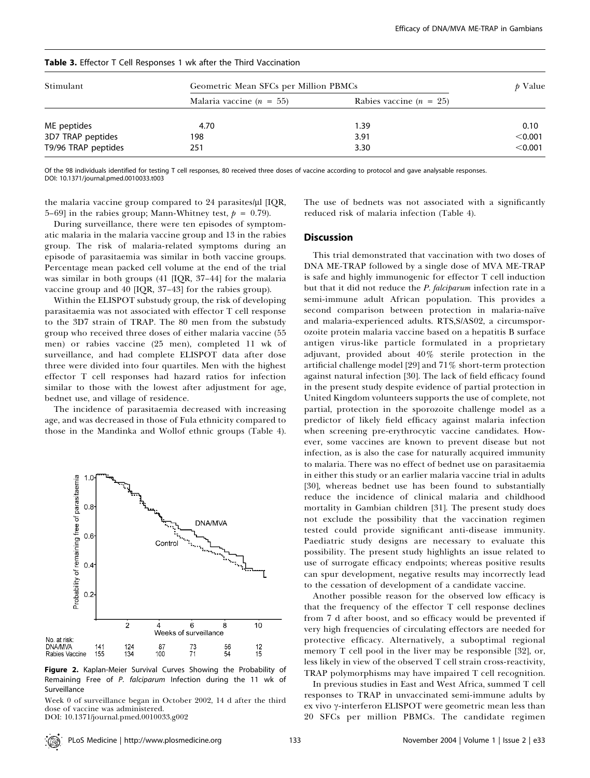| Stimulant           | Geometric Mean SFCs per Million PBMCs | p Value                   |         |
|---------------------|---------------------------------------|---------------------------|---------|
|                     | Malaria vaccine ( $n = 55$ )          | Rabies vaccine $(n = 25)$ |         |
| ME peptides         | 4.70                                  | 1.39                      | 0.10    |
| 3D7 TRAP peptides   | 198                                   | 3.91                      | < 0.001 |
| T9/96 TRAP peptides | 251                                   | 3.30                      | < 0.001 |

#### Table 3. Effector T Cell Responses 1 wk after the Third Vaccination

Of the 98 individuals identified for testing T cell responses, 80 received three doses of vaccine according to protocol and gave analysable responses. DOI: 10.1371/journal.pmed.0010033.t003

the malaria vaccine group compared to 24 parasites/µl [IQR, 5–69] in the rabies group; Mann-Whitney test,  $p = 0.79$ ).

During surveillance, there were ten episodes of symptomatic malaria in the malaria vaccine group and 13 in the rabies group. The risk of malaria-related symptoms during an episode of parasitaemia was similar in both vaccine groups. Percentage mean packed cell volume at the end of the trial was similar in both groups (41 [IQR, 37–44] for the malaria vaccine group and 40 [IQR, 37–43] for the rabies group).

Within the ELISPOT substudy group, the risk of developing parasitaemia was not associated with effector T cell response to the 3D7 strain of TRAP. The 80 men from the substudy group who received three doses of either malaria vaccine (55 men) or rabies vaccine (25 men), completed 11 wk of surveillance, and had complete ELISPOT data after dose three were divided into four quartiles. Men with the highest effector T cell responses had hazard ratios for infection similar to those with the lowest after adjustment for age, bednet use, and village of residence.

The incidence of parasitaemia decreased with increasing age, and was decreased in those of Fula ethnicity compared to those in the Mandinka and Wollof ethnic groups (Table 4).



Figure 2. Kaplan-Meier Survival Curves Showing the Probability of Remaining Free of P. falciparum Infection during the 11 wk of Surveillance

Week 0 of surveillance began in October 2002, 14 d after the third dose of vaccine was administered.

DOI: 10.1371/journal.pmed.0010033.g002

The use of bednets was not associated with a significantly reduced risk of malaria infection (Table 4).

#### **Discussion**

This trial demonstrated that vaccination with two doses of DNA ME-TRAP followed by a single dose of MVA ME-TRAP is safe and highly immunogenic for effector T cell induction but that it did not reduce the *P. falciparum* infection rate in a semi-immune adult African population. This provides a second comparison between protection in malaria-naïve and malaria-experienced adults. RTS,S/AS02, a circumsporozoite protein malaria vaccine based on a hepatitis B surface antigen virus-like particle formulated in a proprietary adjuvant, provided about 40% sterile protection in the artificial challenge model [29] and 71% short-term protection against natural infection [30]. The lack of field efficacy found in the present study despite evidence of partial protection in United Kingdom volunteers supports the use of complete, not partial, protection in the sporozoite challenge model as a predictor of likely field efficacy against malaria infection when screening pre-erythrocytic vaccine candidates. However, some vaccines are known to prevent disease but not infection, as is also the case for naturally acquired immunity to malaria. There was no effect of bednet use on parasitaemia in either this study or an earlier malaria vaccine trial in adults [30], whereas bednet use has been found to substantially reduce the incidence of clinical malaria and childhood mortality in Gambian children [31]. The present study does not exclude the possibility that the vaccination regimen tested could provide significant anti-disease immunity. Paediatric study designs are necessary to evaluate this possibility. The present study highlights an issue related to use of surrogate efficacy endpoints; whereas positive results can spur development, negative results may incorrectly lead to the cessation of development of a candidate vaccine.

Another possible reason for the observed low efficacy is that the frequency of the effector T cell response declines from 7 d after boost, and so efficacy would be prevented if very high frequencies of circulating effectors are needed for protective efficacy. Alternatively, a suboptimal regional memory T cell pool in the liver may be responsible [32], or, less likely in view of the observed T cell strain cross-reactivity, TRAP polymorphisms may have impaired T cell recognition.

In previous studies in East and West Africa, summed T cell responses to TRAP in unvaccinated semi-immune adults by  $ex$  vivo  $\gamma$ -interferon ELISPOT were geometric mean less than 20 SFCs per million PBMCs. The candidate regimen

PLoS Medicine | http://www.plosmedicine.org 133 133 November 2004 | Volume 1 | Issue 2 | e33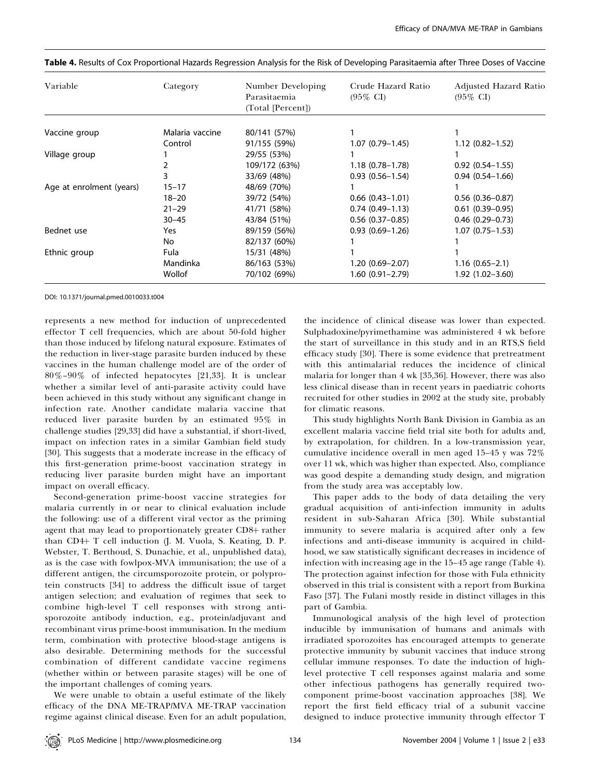| Variable                 | Category        | Number Developing<br>Parasitaemia<br>(Total [Percent]) | Crude Hazard Ratio<br>$(95\% \text{ CI})$ | <b>Adjusted Hazard Ratio</b><br>$(95\% \text{ CI})$ |
|--------------------------|-----------------|--------------------------------------------------------|-------------------------------------------|-----------------------------------------------------|
|                          | Malaria vaccine | 80/141 (57%)                                           |                                           |                                                     |
| Vaccine group            |                 |                                                        |                                           |                                                     |
|                          | Control         | 91/155 (59%)                                           | $1.07(0.79 - 1.45)$                       | $1.12(0.82 - 1.52)$                                 |
| Village group            |                 | 29/55 (53%)                                            |                                           |                                                     |
|                          |                 | 109/172 (63%)                                          | $1.18(0.78 - 1.78)$                       | $0.92(0.54 - 1.55)$                                 |
|                          |                 | 33/69 (48%)                                            | $0.93(0.56 - 1.54)$                       | $0.94(0.54 - 1.66)$                                 |
| Age at enrolment (years) | $15 - 17$       | 48/69 (70%)                                            |                                           |                                                     |
|                          | $18 - 20$       | 39/72 (54%)                                            | $0.66$ $(0.43 - 1.01)$                    | $0.56$ $(0.36 - 0.87)$                              |
|                          | $21 - 29$       | 41/71 (58%)                                            | $0.74(0.49-1.13)$                         | $0.61(0.39-0.95)$                                   |
|                          | $30 - 45$       | 43/84 (51%)                                            | $0.56$ $(0.37-0.85)$                      | $0.46$ (0.29-0.73)                                  |
| Bednet use               | Yes             | 89/159 (56%)                                           | $0.93(0.69 - 1.26)$                       | $1.07(0.75 - 1.53)$                                 |
|                          | No              | 82/137 (60%)                                           |                                           |                                                     |
| Ethnic group             | Fula            | 15/31 (48%)                                            |                                           |                                                     |
|                          | Mandinka        | 86/163 (53%)                                           | 1.20 (0.69-2.07)                          | $1.16(0.65 - 2.1)$                                  |
|                          | Wollof          | 70/102 (69%)                                           | $1.60(0.91 - 2.79)$                       | $1.92(1.02 - 3.60)$                                 |

|  |  | Table 4. Results of Cox Proportional Hazards Regression Analysis for the Risk of Developing Parasitaemia after Three Doses of Vaccine |
|--|--|---------------------------------------------------------------------------------------------------------------------------------------|
|  |  |                                                                                                                                       |

DOI: 10.1371/journal.pmed.0010033.t004

represents a new method for induction of unprecedented effector T cell frequencies, which are about 50-fold higher than those induced by lifelong natural exposure. Estimates of the reduction in liver-stage parasite burden induced by these vaccines in the human challenge model are of the order of 80%–90% of infected hepatocytes [21,33]. It is unclear whether a similar level of anti-parasite activity could have been achieved in this study without any significant change in infection rate. Another candidate malaria vaccine that reduced liver parasite burden by an estimated 95% in challenge studies [29,33] did have a substantial, if short-lived, impact on infection rates in a similar Gambian field study [30]. This suggests that a moderate increase in the efficacy of this first-generation prime-boost vaccination strategy in reducing liver parasite burden might have an important impact on overall efficacy.

Second-generation prime-boost vaccine strategies for malaria currently in or near to clinical evaluation include the following: use of a different viral vector as the priming agent that may lead to proportionately greater CD8+ rather than CD4+ T cell induction (J. M. Vuola, S. Keating, D. P. Webster, T. Berthoud, S. Dunachie, et al., unpublished data), as is the case with fowlpox-MVA immunisation; the use of a different antigen, the circumsporozoite protein, or polyprotein constructs [34] to address the difficult issue of target antigen selection; and evaluation of regimes that seek to combine high-level T cell responses with strong antisporozoite antibody induction, e.g., protein/adjuvant and recombinant virus prime-boost immunisation. In the medium term, combination with protective blood-stage antigens is also desirable. Determining methods for the successful combination of different candidate vaccine regimens (whether within or between parasite stages) will be one of the important challenges of coming years.

We were unable to obtain a useful estimate of the likely efficacy of the DNA ME-TRAP/MVA ME-TRAP vaccination regime against clinical disease. Even for an adult population,

the incidence of clinical disease was lower than expected. Sulphadoxine/pyrimethamine was administered 4 wk before the start of surveillance in this study and in an RTS,S field efficacy study [30]. There is some evidence that pretreatment with this antimalarial reduces the incidence of clinical malaria for longer than 4 wk [35,36]. However, there was also less clinical disease than in recent years in paediatric cohorts recruited for other studies in 2002 at the study site, probably for climatic reasons.

This study highlights North Bank Division in Gambia as an excellent malaria vaccine field trial site both for adults and, by extrapolation, for children. In a low-transmission year, cumulative incidence overall in men aged 15–45 y was 72% over 11 wk, which was higher than expected. Also, compliance was good despite a demanding study design, and migration from the study area was acceptably low.

This paper adds to the body of data detailing the very gradual acquisition of anti-infection immunity in adults resident in sub-Saharan Africa [30]. While substantial immunity to severe malaria is acquired after only a few infections and anti-disease immunity is acquired in childhood, we saw statistically significant decreases in incidence of infection with increasing age in the 15–45 age range (Table 4). The protection against infection for those with Fula ethnicity observed in this trial is consistent with a report from Burkina Faso [37]. The Fulani mostly reside in distinct villages in this part of Gambia.

Immunological analysis of the high level of protection inducible by immunisation of humans and animals with irradiated sporozoites has encouraged attempts to generate protective immunity by subunit vaccines that induce strong cellular immune responses. To date the induction of highlevel protective T cell responses against malaria and some other infectious pathogens has generally required twocomponent prime-boost vaccination approaches [38]. We report the first field efficacy trial of a subunit vaccine designed to induce protective immunity through effector T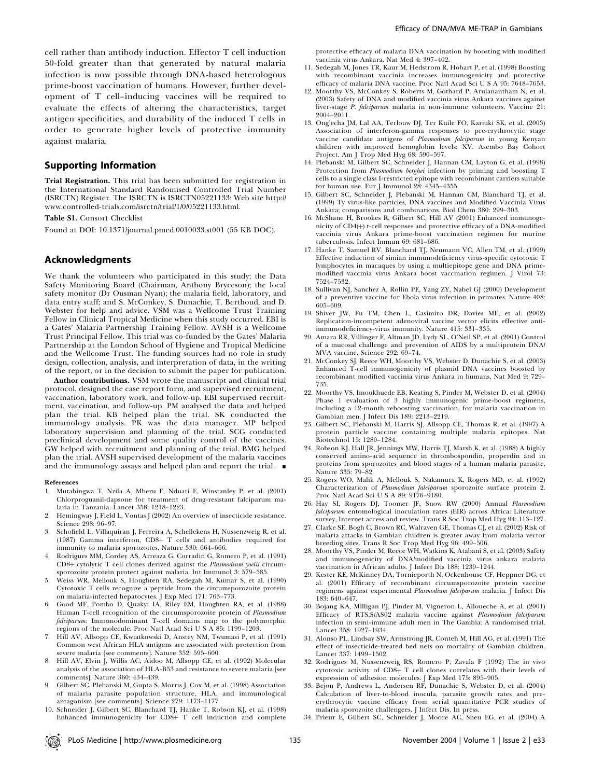cell rather than antibody induction. Effector T cell induction 50-fold greater than that generated by natural malaria infection is now possible through DNA-based heterologous prime-boost vaccination of humans. However, further development of T cell–inducing vaccines will be required to evaluate the effects of altering the characteristics, target antigen specificities, and durability of the induced T cells in order to generate higher levels of protective immunity against malaria.

#### Supporting Information

Trial Registration. This trial has been submitted for registration in the International Standard Randomised Controlled Trial Number (ISRCTN) Register. The ISRCTN is ISRCTN05221133; Web site http:// www.controlled-trials.com/isrctn/trial/1/0/05221133.html.

Table S1. Consort Checklist

Found at DOI: 10.1371/journal.pmed.0010033.st001 (55 KB DOC).

## Acknowledgments

We thank the volunteers who participated in this study; the Data Safety Monitoring Board (Chairman, Anthony Bryceson); the local safety monitor (Dr Ousman Nyan); the malaria field, laboratory, and data entry staff; and S. McConkey, S. Dunachie, T. Berthoud, and D. Webster for help and advice. VSM was a Wellcome Trust Training Fellow in Clinical Tropical Medicine when this study occurred. EBI is a Gates' Malaria Partnership Training Fellow. AVSH is a Wellcome Trust Principal Fellow. This trial was co-funded by the Gates' Malaria Partnership at the London School of Hygiene and Tropical Medicine and the Wellcome Trust. The funding sources had no role in study design, collection, analysis, and interpretation of data, in the writing of the report, or in the decision to submit the paper for publication.

Author contributions. VSM wrote the manuscript and clinical trial protocol, designed the case report form, and supervised recruitment, vaccination, laboratory work, and follow-up. EBI supervised recruitment, vaccination, and follow-up. PM analysed the data and helped plan the trial. KB helped plan the trial. SK conducted the immunology analysis. PK was the data manager. MP helped laboratory supervision and planning of the trial. SCG conducted preclinical development and some quality control of the vaccines. GW helped with recruitment and planning of the trial. BMG helped plan the trial. AVSH supervised development of the malaria vaccines and the immunology assays and helped plan and report the trial. *&*

#### References

- 1. Mutabingwa T, Nzila A, Mberu E, Nduati E, Winstanley P, et al. (2001) Chlorproguanil-dapsone for treatment of drug-resistant falciparum malaria in Tanzania. Lancet 358: 1218–1223.
- 2. Hemingway J, Field L, Vontas J (2002) An overview of insecticide resistance. Science 298: 96–97.
- 3. Schofield L, Villaquiran J, Ferreira A, Schellekens H, Nussenzweig R, et al. (1987) Gamma interferon, CD8+ T cells and antibodies required for immunity to malaria sporozoites. Nature 330: 664–666.
- 4. Rodrigues MM, Cordey AS, Arreaza G, Corradin G, Romero P, et al. (1991) CD8+ cytolytic T cell clones derived against the Plasmodium yoelii circumsporozoite protein protect against malaria. Int Immunol 3: 579–585.
- 5. Weiss WR, Mellouk S, Houghten RA, Sedegah M, Kumar S, et al. (1990) Cytotoxic T cells recognize a peptide from the circumsporozoite protein on malaria-infected hepatocytes. J Exp Med 171: 763–773.
- 6. Good MF, Pombo D, Quakyi IA, Riley EM, Houghten RA, et al. (1988) Human T-cell recognition of the circumsporozoite protein of Plasmodium falciparum: Immunodominant T-cell domains map to the polymorphic regions of the molecule. Proc Natl Acad Sci U S A 85: 1199–1203.
- 7. Hill AV, Allsopp CE, Kwiatkowski D, Anstey NM, Twumasi P, et al. (1991) Common west African HLA antigens are associated with protection from severe malaria [see comments]. Nature 352: 595–600.
- 8. Hill AV, Elvin J, Willis AC, Aidoo M, Allsopp CE, et al. (1992) Molecular analysis of the association of HLA-B53 and resistance to severe malaria [see comments]. Nature 360: 434–439.
- 9. Gilbert SC, Plebanski M, Gupta S, Morris J, Cox M, et al. (1998) Association of malaria parasite population structure, HLA, and immunological antagonism [see comments]. Science 279: 1173–1177.
- 10. Schneider J, Gilbert SC, Blanchard TJ, Hanke T, Robson KJ, et al. (1998) Enhanced immunogenicity for CD8+ T cell induction and complete

protective efficacy of malaria DNA vaccination by boosting with modified vaccinia virus Ankara. Nat Med 4: 397–402.

- 11. Sedegah M, Jones TR, Kaur M, Hedstrom R, Hobart P, et al. (1998) Boosting with recombinant vaccinia increases immunogenicity and protective efficacy of malaria DNA vaccine. Proc Natl Acad Sci U S A 95: 7648–7653.
- 12. Moorthy VS, McConkey S, Roberts M, Gothard P, Arulanantham N, et al. (2003) Safety of DNA and modified vaccinia virus Ankara vaccines against liver-stage P. falciparum malaria in non-immune volunteers. Vaccine 21: 2004–2011.
- 13. Ong'echa JM, Lal AA, Terlouw DJ, Ter Kuile FO, Kariuki SK, et al. (2003) Association of interferon-gamma responses to pre-erythrocytic stage vaccine candidate antigens of Plasmodium falciparum in young Kenyan children with improved hemoglobin levels: XV. Asembo Bay Cohort Project. Am J Trop Med Hyg 68: 590–597.
- 14. Plebanski M, Gilbert SC, Schneider J, Hannan CM, Layton G, et al. (1998) Protection from Plasmodium berghei infection by priming and boosting T cells to a single class I-restricted epitope with recombinant carriers suitable for human use. Eur J Immunol 28: 4345–4355.
- 15. Gilbert SC, Schneider J, Plebanski M, Hannan CM, Blanchard TJ, et al. (1999) Ty virus-like particles, DNA vaccines and Modified Vaccinia Virus Ankara; comparisons and combinations. Biol Chem 380: 299–303.
- 16. McShane H, Brookes R, Gilbert SC, Hill AV (2001) Enhanced immunogenicity of  $CD4(+)$  t-cell responses and protective efficacy of a DNA-modified vaccinia virus Ankara prime-boost vaccination regimen for murine tuberculosis. Infect Immun 69: 681–686.
- 17. Hanke T, Samuel RV, Blanchard TJ, Neumann VC, Allen TM, et al. (1999) Effective induction of simian immunodeficiency virus-specific cytotoxic T lymphocytes in macaques by using a multiepitope gene and DNA primemodified vaccinia virus Ankara boost vaccination regimen. J Virol 73: 7524–7532.
- 18. Sullivan NJ, Sanchez A, Rollin PE, Yang ZY, Nabel GJ (2000) Development of a preventive vaccine for Ebola virus infection in primates. Nature 408: 605–609.
- 19. Shiver JW, Fu TM, Chen L, Casimiro DR, Davies ME, et al. (2002) Replication-incompetent adenoviral vaccine vector elicits effective antiimmunodeficiency-virus immunity. Nature 415: 331–335.
- 20. Amara RR, Villinger F, Altman JD, Lydy SL, O'Neil SP, et al. (2001) Control of a mucosal challenge and prevention of AIDS by a multiprotein DNA/ MVA vaccine. Science 292: 69–74.
- 21. McConkey SJ, Reece WH, Moorthy VS, Webster D, Dunachie S, et al. (2003) Enhanced T-cell immunogenicity of plasmid DNA vaccines boosted by recombinant modified vaccinia virus Ankara in humans. Nat Med 9: 729– 735.
- 22. Moorthy VS, Imoukhuede EB, Keating S, Pinder M, Webster D, et al. (2004) Phase 1 evaluation of 3 highly immunogenic prime-boost regimens, including a 12-month reboosting vaccination, for malaria vaccination in Gambian men. J Infect Dis 189: 2213–2219.
- 23. Gilbert SC, Plebanski M, Harris SJ, Allsopp CE, Thomas R, et al. (1997) A protein particle vaccine containing multiple malaria epitopes. Nat Biotechnol 15: 1280–1284.
- 24. Robson KJ, Hall JR, Jennings MW, Harris TJ, Marsh K, et al. (1988) A highly conserved amino-acid sequence in thrombospondin, properdin and in proteins from sporozoites and blood stages of a human malaria parasite. Nature 335: 79–82.
- 25. Rogers WO, Malik A, Mellouk S, Nakamura K, Rogers MD, et al. (1992) Characterization of Plasmodium falciparum sporozoite surface protein 2. Proc Natl Acad Sci U S A 89: 9176–9180.
- 26. Hay SI, Rogers DJ, Toomer JF, Snow RW (2000) Annual Plasmodium falciparum entomological inoculation rates (EIR) across Africa: Literature survey, Internet access and review. Trans R Soc Trop Med Hyg 94: 113–127.
- 27. Clarke SE, Bogh C, Brown RC, Walraven GE, Thomas CJ, et al. (2002) Risk of malaria attacks in Gambian children is greater away from malaria vector breeding sites. Trans R Soc Trop Med Hyg 96: 499–506.
- 28. Moorthy VS, Pinder M, Reece WH, Watkins K, Atabani S, et al. (2003) Safety and immunogenicity of DNA/modified vaccinia virus ankara malaria vaccination in African adults. J Infect Dis 188: 1239–1244.
- 29. Kester KE, McKinney DA, Tornieporth N, Ockenhouse CF, Heppner DG, et al. (2001) Efficacy of recombinant circumsporozoite protein vaccine regimens against experimental Plasmodium falciparum malaria. J Infect Dis 183: 640–647.
- 30. Bojang KA, Milligan PJ, Pinder M, Vigneron L, Alloueche A, et al. (2001) Efficacy of RTS,S/AS02 malaria vaccine against Plasmodium falciparum infection in semi-immune adult men in The Gambia: A randomised trial. Lancet 358: 1927–1934.
- 31. Alonso PL, Lindsay SW, Armstrong JR, Conteh M, Hill AG, et al. (1991) The effect of insecticide-treated bed nets on mortality of Gambian children. Lancet 337: 1499–1502.
- 32. Rodrigues M, Nussenzweig RS, Romero P, Zavala F (1992) The in vivo cytotoxic activity of  $CD8+T$  cell clones correlates with their levels of expression of adhesion molecules. J Exp Med 175: 895–905.
- 33. Bejon P, Andrews L, Andersen RF, Dunachie S, Webster D, et al. (2004) Calculation of liver-to-blood inocula, parasite growth rates and preerythrocytic vaccine efficacy from serial quantitative PCR studies of malaria sporozoite challengees. J Infect Dis. In press.
- 34. Prieur E, Gilbert SC, Schneider J, Moore AC, Sheu EG, et al. (2004) A